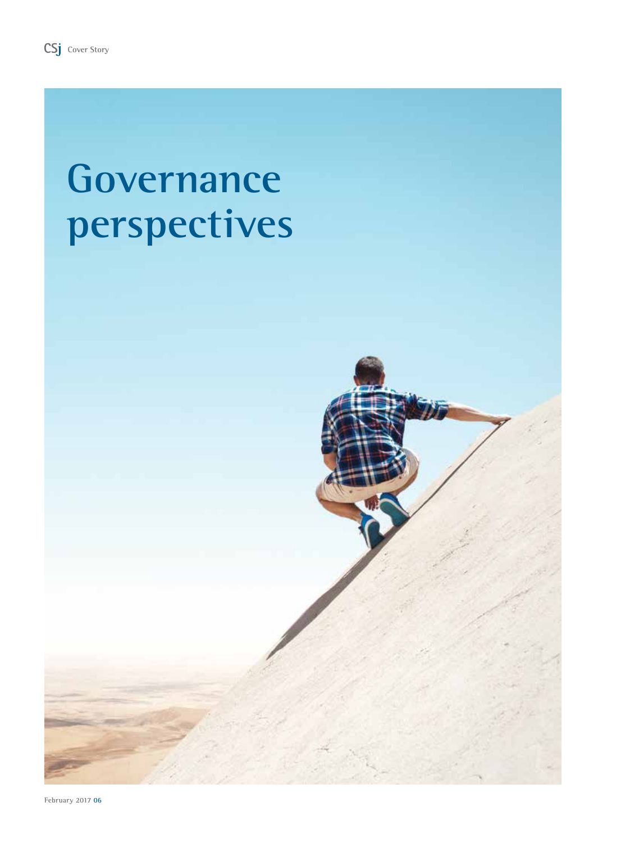# **Governance perspectives**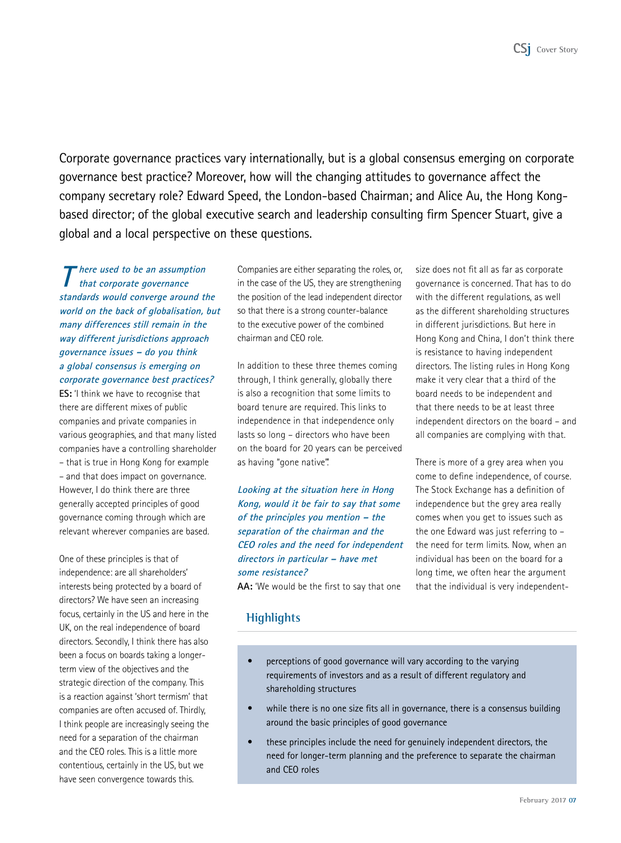Corporate governance practices vary internationally, but is a global consensus emerging on corporate governance best practice? Moreover, how will the changing attitudes to governance affect the company secretary role? Edward Speed, the London-based Chairman; and Alice Au, the Hong Kongbased director; of the global executive search and leadership consulting firm Spencer Stuart, give a global and a local perspective on these questions.

**T here used to be an assumption that corporate governance standards would converge around the world on the back of globalisation, but many differences still remain in the way different jurisdictions approach governance issues – do you think a global consensus is emerging on corporate governance best practices?** 

**ES:** 'I think we have to recognise that there are different mixes of public companies and private companies in various geographies, and that many listed companies have a controlling shareholder – that is true in Hong Kong for example – and that does impact on governance. However, I do think there are three generally accepted principles of good governance coming through which are relevant wherever companies are based.

One of these principles is that of independence: are all shareholders' interests being protected by a board of directors? We have seen an increasing focus, certainly in the US and here in the UK, on the real independence of board directors. Secondly, I think there has also been a focus on boards taking a longerterm view of the objectives and the strategic direction of the company. This is a reaction against 'short termism' that companies are often accused of. Thirdly, I think people are increasingly seeing the need for a separation of the chairman and the CEO roles. This is a little more contentious, certainly in the US, but we have seen convergence towards this.

Companies are either separating the roles, or, in the case of the US, they are strengthening the position of the lead independent director so that there is a strong counter-balance to the executive power of the combined chairman and CEO role.

In addition to these three themes coming through, I think generally, globally there is also a recognition that some limits to board tenure are required. This links to independence in that independence only lasts so long – directors who have been on the board for 20 years can be perceived as having "gone native".

**Looking at the situation here in Hong Kong, would it be fair to say that some of the principles you mention – the separation of the chairman and the CEO roles and the need for independent directors in particular – have met some resistance?**

**AA:** 'We would be the first to say that one

size does not fit all as far as corporate governance is concerned. That has to do with the different regulations, as well as the different shareholding structures in different jurisdictions. But here in Hong Kong and China, I don't think there is resistance to having independent directors. The listing rules in Hong Kong make it very clear that a third of the board needs to be independent and that there needs to be at least three independent directors on the board – and all companies are complying with that.

There is more of a grey area when you come to define independence, of course. The Stock Exchange has a definition of independence but the grey area really comes when you get to issues such as the one Edward was just referring to – the need for term limits. Now, when an individual has been on the board for a long time, we often hear the argument that the individual is very independent-

# **Highlights**

- perceptions of good governance will vary according to the varying requirements of investors and as a result of different regulatory and shareholding structures
- while there is no one size fits all in governance, there is a consensus building around the basic principles of good governance
- these principles include the need for genuinely independent directors, the need for longer-term planning and the preference to separate the chairman and CEO roles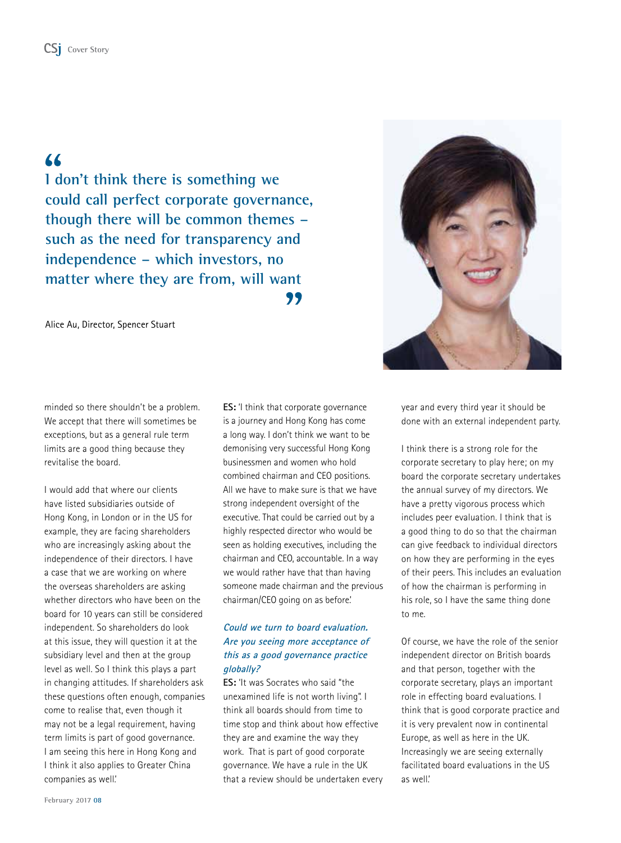# CS<sub>1</sub> Cover Story

# $\overline{\mathbf{A}}$

**I don't think there is something we could call perfect corporate governance, though there will be common themes – such as the need for transparency and independence – which investors, no matter where they are from, will want** 99

Alice Au, Director, Spencer Stuart



minded so there shouldn't be a problem. We accept that there will sometimes be exceptions, but as a general rule term limits are a good thing because they revitalise the board.

I would add that where our clients have listed subsidiaries outside of Hong Kong, in London or in the US for example, they are facing shareholders who are increasingly asking about the independence of their directors. I have a case that we are working on where the overseas shareholders are asking whether directors who have been on the board for 10 years can still be considered independent. So shareholders do look at this issue, they will question it at the subsidiary level and then at the group level as well. So I think this plays a part in changing attitudes. If shareholders ask these questions often enough, companies come to realise that, even though it may not be a legal requirement, having term limits is part of good governance. I am seeing this here in Hong Kong and I think it also applies to Greater China companies as well.'

**ES:** 'I think that corporate governance is a journey and Hong Kong has come a long way. I don't think we want to be demonising very successful Hong Kong businessmen and women who hold combined chairman and CEO positions. All we have to make sure is that we have strong independent oversight of the executive. That could be carried out by a highly respected director who would be seen as holding executives, including the chairman and CEO, accountable. In a way we would rather have that than having someone made chairman and the previous chairman/CEO going on as before.'

## **Could we turn to board evaluation. Are you seeing more acceptance of this as a good governance practice globally?**

**ES:** 'It was Socrates who said "the unexamined life is not worth living". I think all boards should from time to time stop and think about how effective they are and examine the way they work. That is part of good corporate governance. We have a rule in the UK that a review should be undertaken every year and every third year it should be done with an external independent party.

I think there is a strong role for the corporate secretary to play here; on my board the corporate secretary undertakes the annual survey of my directors. We have a pretty vigorous process which includes peer evaluation. I think that is a good thing to do so that the chairman can give feedback to individual directors on how they are performing in the eyes of their peers. This includes an evaluation of how the chairman is performing in his role, so I have the same thing done to me.

Of course, we have the role of the senior independent director on British boards and that person, together with the corporate secretary, plays an important role in effecting board evaluations. I think that is good corporate practice and it is very prevalent now in continental Europe, as well as here in the UK. Increasingly we are seeing externally facilitated board evaluations in the US as well.'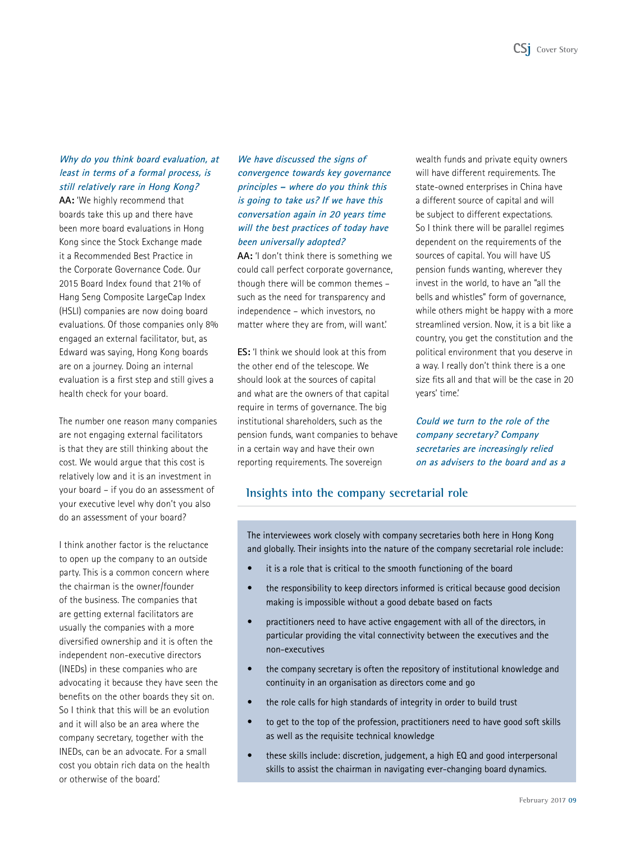#### **Why do you think board evaluation, at least in terms of a formal process, is still relatively rare in Hong Kong?**

**AA:** 'We highly recommend that boards take this up and there have been more board evaluations in Hong Kong since the Stock Exchange made it a Recommended Best Practice in the Corporate Governance Code. Our 2015 Board Index found that 21% of Hang Seng Composite LargeCap Index (HSLI) companies are now doing board evaluations. Of those companies only 8% engaged an external facilitator, but, as Edward was saying, Hong Kong boards are on a journey. Doing an internal evaluation is a first step and still gives a health check for your board.

The number one reason many companies are not engaging external facilitators is that they are still thinking about the cost. We would argue that this cost is relatively low and it is an investment in your board – if you do an assessment of your executive level why don't you also do an assessment of your board?

I think another factor is the reluctance to open up the company to an outside party. This is a common concern where the chairman is the owner/founder of the business. The companies that are getting external facilitators are usually the companies with a more diversified ownership and it is often the independent non-executive directors (INEDs) in these companies who are advocating it because they have seen the benefits on the other boards they sit on. So I think that this will be an evolution and it will also be an area where the company secretary, together with the INEDs, can be an advocate. For a small cost you obtain rich data on the health or otherwise of the board.'

# **We have discussed the signs of convergence towards key governance principles – where do you think this is going to take us? If we have this conversation again in 20 years time will the best practices of today have been universally adopted?**

**AA:** 'I don't think there is something we could call perfect corporate governance, though there will be common themes – such as the need for transparency and independence – which investors, no matter where they are from, will want.'

**ES:** 'I think we should look at this from the other end of the telescope. We should look at the sources of capital and what are the owners of that capital require in terms of governance. The big institutional shareholders, such as the pension funds, want companies to behave in a certain way and have their own reporting requirements. The sovereign

wealth funds and private equity owners will have different requirements. The state-owned enterprises in China have a different source of capital and will be subject to different expectations. So I think there will be parallel regimes dependent on the requirements of the sources of capital. You will have US pension funds wanting, wherever they invest in the world, to have an "all the bells and whistles" form of governance, while others might be happy with a more streamlined version. Now, it is a bit like a country, you get the constitution and the political environment that you deserve in a way. I really don't think there is a one size fits all and that will be the case in 20 years' time.'

**Could we turn to the role of the company secretary? Company secretaries are increasingly relied on as advisers to the board and as a** 

# **Insights into the company secretarial role**

The interviewees work closely with company secretaries both here in Hong Kong and globally. Their insights into the nature of the company secretarial role include:

- it is a role that is critical to the smooth functioning of the board
- the responsibility to keep directors informed is critical because good decision making is impossible without a good debate based on facts
- practitioners need to have active engagement with all of the directors, in particular providing the vital connectivity between the executives and the non-executives
- the company secretary is often the repository of institutional knowledge and continuity in an organisation as directors come and go
- the role calls for high standards of integrity in order to build trust
- to get to the top of the profession, practitioners need to have good soft skills as well as the requisite technical knowledge
- these skills include: discretion, judgement, a high EQ and good interpersonal skills to assist the chairman in navigating ever-changing board dynamics.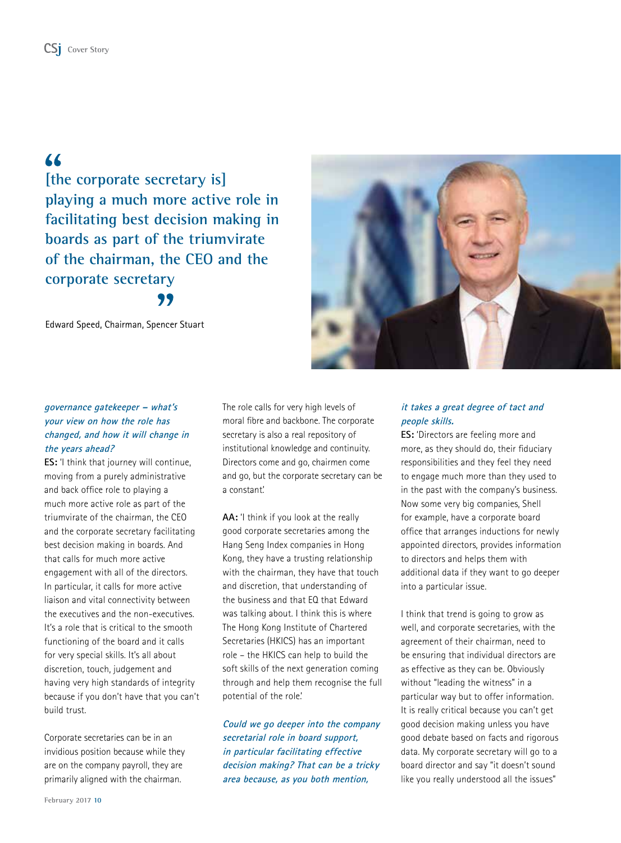# CS<sub>1</sub> Cover Story

# $\overline{4}$

**[the corporate secretary is] playing a much more active role in facilitating best decision making in boards as part of the triumvirate of the chairman, the CEO and the corporate secretary** 99

Edward Speed, Chairman, Spencer Stuart



#### **governance gatekeeper – what's your view on how the role has changed, and how it will change in the years ahead?**

**ES:** 'I think that journey will continue, moving from a purely administrative and back office role to playing a much more active role as part of the triumvirate of the chairman, the CEO and the corporate secretary facilitating best decision making in boards. And that calls for much more active engagement with all of the directors. In particular, it calls for more active liaison and vital connectivity between the executives and the non-executives. It's a role that is critical to the smooth functioning of the board and it calls for very special skills. It's all about discretion, touch, judgement and having very high standards of integrity because if you don't have that you can't build trust.

Corporate secretaries can be in an invidious position because while they are on the company payroll, they are primarily aligned with the chairman.

The role calls for very high levels of moral fibre and backbone. The corporate secretary is also a real repository of institutional knowledge and continuity. Directors come and go, chairmen come and go, but the corporate secretary can be a constant.'

**AA:** 'I think if you look at the really good corporate secretaries among the Hang Seng Index companies in Hong Kong, they have a trusting relationship with the chairman, they have that touch and discretion, that understanding of the business and that EQ that Edward was talking about. I think this is where The Hong Kong Institute of Chartered Secretaries (HKICS) has an important role – the HKICS can help to build the soft skills of the next generation coming through and help them recognise the full potential of the role.'

**Could we go deeper into the company secretarial role in board support, in particular facilitating effective decision making? That can be a tricky area because, as you both mention,** 

#### **it takes a great degree of tact and people skills.**

**ES:** 'Directors are feeling more and more, as they should do, their fiduciary responsibilities and they feel they need to engage much more than they used to in the past with the company's business. Now some very big companies, Shell for example, have a corporate board office that arranges inductions for newly appointed directors, provides information to directors and helps them with additional data if they want to go deeper into a particular issue.

I think that trend is going to grow as well, and corporate secretaries, with the agreement of their chairman, need to be ensuring that individual directors are as effective as they can be. Obviously without "leading the witness" in a particular way but to offer information. It is really critical because you can't get good decision making unless you have good debate based on facts and rigorous data. My corporate secretary will go to a board director and say "it doesn't sound like you really understood all the issues"